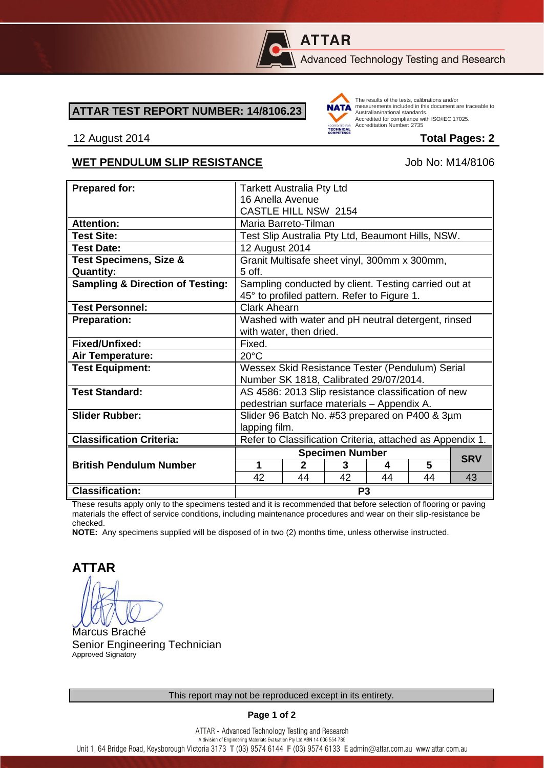

# **ATTAR**

Advanced Technology Testing and Research

#### **ATTAR TEST REPORT NUMBER: 14/8106.23**



The results of the tests, calibrations and/or measurements included in this document are traceable to Australian/national standards. Adstrational Midional Standards:<br>Accredited for compliance with ISO/IEC 17025. Accreditation Number: 2735

#### 12 August 2014 **Total Pages: 2**

#### WET PENDULUM SLIP RESISTANCE Job No: M14/8106

| <b>Prepared for:</b>                        | <b>Tarkett Australia Pty Ltd</b>                          |    |    |    |    |            |
|---------------------------------------------|-----------------------------------------------------------|----|----|----|----|------------|
|                                             | 16 Anella Avenue                                          |    |    |    |    |            |
|                                             |                                                           |    |    |    |    |            |
|                                             | CASTLE HILL NSW 2154                                      |    |    |    |    |            |
| <b>Attention:</b>                           | Maria Barreto-Tilman                                      |    |    |    |    |            |
| <b>Test Site:</b>                           | Test Slip Australia Pty Ltd, Beaumont Hills, NSW.         |    |    |    |    |            |
| <b>Test Date:</b>                           | 12 August 2014                                            |    |    |    |    |            |
| <b>Test Specimens, Size &amp;</b>           | Granit Multisafe sheet vinyl, 300mm x 300mm,              |    |    |    |    |            |
| <b>Quantity:</b>                            | 5 off.                                                    |    |    |    |    |            |
| <b>Sampling &amp; Direction of Testing:</b> | Sampling conducted by client. Testing carried out at      |    |    |    |    |            |
|                                             | 45° to profiled pattern. Refer to Figure 1.               |    |    |    |    |            |
| <b>Test Personnel:</b>                      | <b>Clark Ahearn</b>                                       |    |    |    |    |            |
| <b>Preparation:</b>                         | Washed with water and pH neutral detergent, rinsed        |    |    |    |    |            |
|                                             | with water, then dried.                                   |    |    |    |    |            |
| Fixed/Unfixed:                              | Fixed.                                                    |    |    |    |    |            |
| Air Temperature:                            | $20^{\circ}$ C                                            |    |    |    |    |            |
| <b>Test Equipment:</b>                      | Wessex Skid Resistance Tester (Pendulum) Serial           |    |    |    |    |            |
|                                             | Number SK 1818, Calibrated 29/07/2014.                    |    |    |    |    |            |
| <b>Test Standard:</b>                       | AS 4586: 2013 Slip resistance classification of new       |    |    |    |    |            |
|                                             | pedestrian surface materials - Appendix A.                |    |    |    |    |            |
| <b>Slider Rubber:</b>                       | Slider 96 Batch No. #53 prepared on P400 & 3µm            |    |    |    |    |            |
|                                             | lapping film.                                             |    |    |    |    |            |
| <b>Classification Criteria:</b>             | Refer to Classification Criteria, attached as Appendix 1. |    |    |    |    |            |
|                                             |                                                           |    |    |    |    |            |
|                                             | <b>Specimen Number</b><br>$\mathbf{2}$<br>1               |    |    |    | 5  | <b>SRV</b> |
| <b>British Pendulum Number</b>              |                                                           |    | 3  | 4  |    |            |
|                                             | 42                                                        | 44 | 42 | 44 | 44 | 43         |
| <b>Classification:</b>                      | P <sub>3</sub>                                            |    |    |    |    |            |

These results apply only to the specimens tested and it is recommended that before selection of flooring or paving materials the effect of service conditions, including maintenance procedures and wear on their slip-resistance be checked.

**NOTE:** Any specimens supplied will be disposed of in two (2) months time, unless otherwise instructed.

**ATTAR**

Marcus Braché Senior Engineering Technician Approved Signatory

**Page 1 of 2**